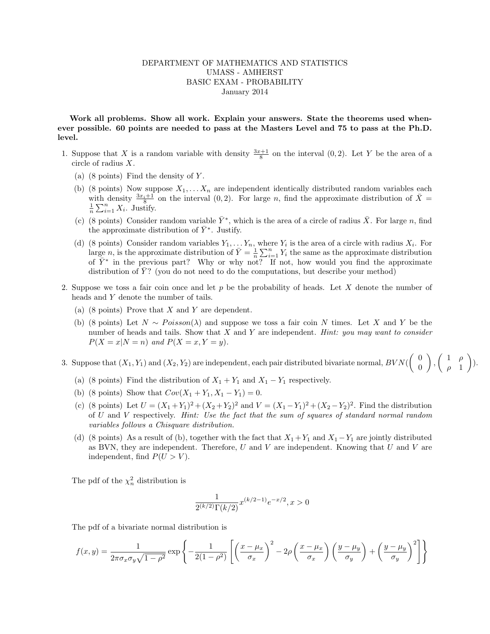## DEPARTMENT OF MATHEMATICS AND STATISTICS UMASS - AMHERST BASIC EXAM - PROBABILITY January 2014

Work all problems. Show all work. Explain your answers. State the theorems used whenever possible. 60 points are needed to pass at the Masters Level and 75 to pass at the Ph.D. level.

- 1. Suppose that X is a random variable with density  $\frac{3x+1}{8}$  on the interval  $(0, 2)$ . Let Y be the area of a circle of radius X.
	- (a)  $(8 \text{ points})$  Find the density of Y.
	- (b) (8 points) Now suppose  $X_1, \ldots X_n$  are independent identically distributed random variables each with density  $\frac{3x_i+1}{8}$  on the interval  $(0, 2)$ . For large n, find the approximate distribution of  $\bar{X}$  =  $\frac{1}{n} \sum_{i=1}^{n} X_i$ . Justify.
	- (c) (8 points) Consider random variable  $\bar{Y}^*$ , which is the area of a circle of radius  $\bar{X}$ . For large n, find the approximate distribution of  $\bar{Y}^*$ . Justify.
	- (d) (8 points) Consider random variables  $Y_1, \ldots, Y_n$ , where  $Y_i$  is the area of a circle with radius  $X_i$ . For large *n*, is the approximate distribution of  $\bar{Y} = \frac{1}{n} \sum_{i=1}^{n} Y_i$  the same as the approximate distribution of  $\overline{Y}^*$  in the previous part? Why or why not? If not, how would you find the approximate distribution of  $\overline{Y}$ ? (you do not need to do the computations, but describe your method)
- 2. Suppose we toss a fair coin once and let p be the probability of heads. Let X denote the number of heads and Y denote the number of tails.
	- (a) (8 points) Prove that  $X$  and  $Y$  are dependent.
	- (b) (8 points) Let  $N \sim Poisson(\lambda)$  and suppose we toss a fair coin N times. Let X and Y be the number of heads and tails. Show that  $X$  and  $Y$  are independent. Hint: you may want to consider  $P(X = x | N = n)$  and  $P(X = x, Y = y)$ .
- 3. Suppose that  $(X_1, Y_1)$  and  $(X_2, Y_2)$  are independent, each pair distributed bivariate normal,  $BVN(\begin{pmatrix} 0 & 0 \\ 0 & 0 \end{pmatrix})$ 0  $\bigg)$ ,  $\bigg( \begin{array}{cc} 1 & \rho \\ 1 & 1 \end{array}$  $\rho$  1  $\bigg).$ 
	- (a) (8 points) Find the distribution of  $X_1 + Y_1$  and  $X_1 Y_1$  respectively.
	- (b) (8 points) Show that  $Cov(X_1 + Y_1, X_1 Y_1) = 0$ .
	- (c) (8 points) Let  $U = (X_1 + Y_1)^2 + (X_2 + Y_2)^2$  and  $V = (X_1 Y_1)^2 + (X_2 Y_2)^2$ . Find the distribution of  $U$  and  $V$  respectively. Hint: Use the fact that the sum of squares of standard normal random variables follows a Chisquare distribution.
	- (d) (8 points) As a result of (b), together with the fact that  $X_1 + Y_1$  and  $X_1 Y_1$  are jointly distributed as BVN, they are independent. Therefore,  $U$  and  $V$  are independent. Knowing that  $U$  and  $V$  are independent, find  $P(U > V)$ .

The pdf of the  $\chi^2_n$  distribution is

$$
\frac{1}{2^{(k/2)}\Gamma(k/2)} x^{(k/2-1)} e^{-x/2}, x > 0
$$

The pdf of a bivariate normal distribution is

$$
f(x,y) = \frac{1}{2\pi\sigma_x\sigma_y\sqrt{1-\rho^2}} \exp\left\{-\frac{1}{2(1-\rho^2)} \left[ \left(\frac{x-\mu_x}{\sigma_x}\right)^2 - 2\rho \left(\frac{x-\mu_x}{\sigma_x}\right) \left(\frac{y-\mu_y}{\sigma_y}\right) + \left(\frac{y-\mu_y}{\sigma_y}\right)^2 \right] \right\}
$$